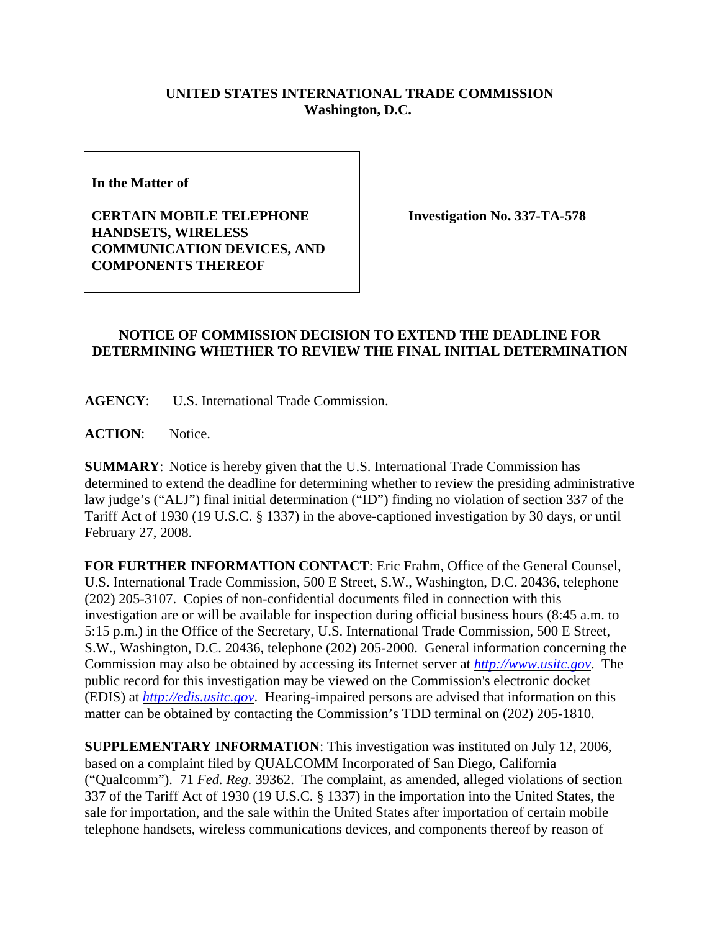## **UNITED STATES INTERNATIONAL TRADE COMMISSION Washington, D.C.**

**In the Matter of** 

**CERTAIN MOBILE TELEPHONE HANDSETS, WIRELESS COMMUNICATION DEVICES, AND COMPONENTS THEREOF**

**Investigation No. 337-TA-578**

## **NOTICE OF COMMISSION DECISION TO EXTEND THE DEADLINE FOR DETERMINING WHETHER TO REVIEW THE FINAL INITIAL DETERMINATION**

**AGENCY**: U.S. International Trade Commission.

**ACTION**: Notice.

**SUMMARY**: Notice is hereby given that the U.S. International Trade Commission has determined to extend the deadline for determining whether to review the presiding administrative law judge's ("ALJ") final initial determination ("ID") finding no violation of section 337 of the Tariff Act of 1930 (19 U.S.C. § 1337) in the above-captioned investigation by 30 days, or until February 27, 2008.

**FOR FURTHER INFORMATION CONTACT**: Eric Frahm, Office of the General Counsel, U.S. International Trade Commission, 500 E Street, S.W., Washington, D.C. 20436, telephone (202) 205-3107. Copies of non-confidential documents filed in connection with this investigation are or will be available for inspection during official business hours (8:45 a.m. to 5:15 p.m.) in the Office of the Secretary, U.S. International Trade Commission, 500 E Street, S.W., Washington, D.C. 20436, telephone (202) 205-2000. General information concerning the Commission may also be obtained by accessing its Internet server at *http://www.usitc.gov*. The public record for this investigation may be viewed on the Commission's electronic docket (EDIS) at *http://edis.usitc.gov*. Hearing-impaired persons are advised that information on this matter can be obtained by contacting the Commission's TDD terminal on (202) 205-1810.

**SUPPLEMENTARY INFORMATION**: This investigation was instituted on July 12, 2006, based on a complaint filed by QUALCOMM Incorporated of San Diego, California ("Qualcomm"). 71 *Fed. Reg.* 39362. The complaint, as amended, alleged violations of section 337 of the Tariff Act of 1930 (19 U.S.C. § 1337) in the importation into the United States, the sale for importation, and the sale within the United States after importation of certain mobile telephone handsets, wireless communications devices, and components thereof by reason of